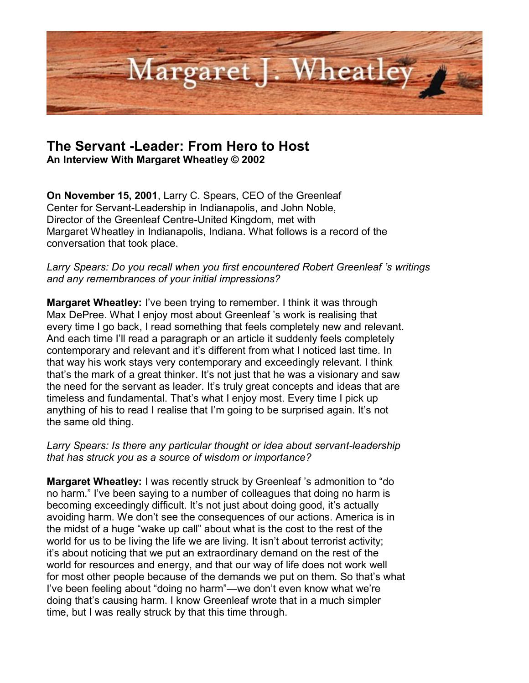

# **The Servant -Leader: From Hero to Host An Interview With Margaret Wheatley © 2002**

**On November 15, 2001**, Larry C. Spears, CEO of the Greenleaf Center for Servant-Leadership in Indianapolis, and John Noble, Director of the Greenleaf Centre-United Kingdom, met with Margaret Wheatley in Indianapolis, Indiana. What follows is a record of the conversation that took place.

## *Larry Spears: Do you recall when you first encountered Robert Greenleaf 's writings and any remembrances of your initial impressions?*

**Margaret Wheatley:** I've been trying to remember. I think it was through Max DePree. What I enjoy most about Greenleaf 's work is realising that every time I go back, I read something that feels completely new and relevant. And each time I'll read a paragraph or an article it suddenly feels completely contemporary and relevant and it's different from what I noticed last time. In that way his work stays very contemporary and exceedingly relevant. I think that's the mark of a great thinker. It's not just that he was a visionary and saw the need for the servant as leader. It's truly great concepts and ideas that are timeless and fundamental. That's what I enjoy most. Every time I pick up anything of his to read I realise that I'm going to be surprised again. It's not the same old thing.

### *Larry Spears: Is there any particular thought or idea about servant-leadership that has struck you as a source of wisdom or importance?*

**Margaret Wheatley:** I was recently struck by Greenleaf 's admonition to "do no harm." I've been saying to a number of colleagues that doing no harm is becoming exceedingly difficult. It's not just about doing good, it's actually avoiding harm. We don't see the consequences of our actions. America is in the midst of a huge "wake up call" about what is the cost to the rest of the world for us to be living the life we are living. It isn't about terrorist activity; it's about noticing that we put an extraordinary demand on the rest of the world for resources and energy, and that our way of life does not work well for most other people because of the demands we put on them. So that's what I've been feeling about "doing no harm"—we don't even know what we're doing that's causing harm. I know Greenleaf wrote that in a much simpler time, but I was really struck by that this time through.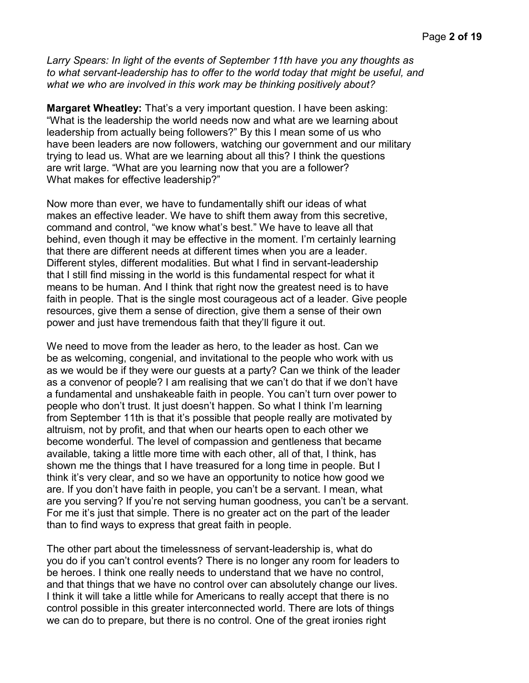*Larry Spears: In light of the events of September 11th have you any thoughts as to what servant-leadership has to offer to the world today that might be useful, and what we who are involved in this work may be thinking positively about?*

**Margaret Wheatley:** That's a very important question. I have been asking: "What is the leadership the world needs now and what are we learning about leadership from actually being followers?" By this I mean some of us who have been leaders are now followers, watching our government and our military trying to lead us. What are we learning about all this? I think the questions are writ large. "What are you learning now that you are a follower? What makes for effective leadership?"

Now more than ever, we have to fundamentally shift our ideas of what makes an effective leader. We have to shift them away from this secretive, command and control, "we know what's best." We have to leave all that behind, even though it may be effective in the moment. I'm certainly learning that there are different needs at different times when you are a leader. Different styles, different modalities. But what I find in servant-leadership that I still find missing in the world is this fundamental respect for what it means to be human. And I think that right now the greatest need is to have faith in people. That is the single most courageous act of a leader. Give people resources, give them a sense of direction, give them a sense of their own power and just have tremendous faith that they'll figure it out.

We need to move from the leader as hero, to the leader as host. Can we be as welcoming, congenial, and invitational to the people who work with us as we would be if they were our guests at a party? Can we think of the leader as a convenor of people? I am realising that we can't do that if we don't have a fundamental and unshakeable faith in people. You can't turn over power to people who don't trust. It just doesn't happen. So what I think I'm learning from September 11th is that it's possible that people really are motivated by altruism, not by profit, and that when our hearts open to each other we become wonderful. The level of compassion and gentleness that became available, taking a little more time with each other, all of that, I think, has shown me the things that I have treasured for a long time in people. But I think it's very clear, and so we have an opportunity to notice how good we are. If you don't have faith in people, you can't be a servant. I mean, what are you serving? If you're not serving human goodness, you can't be a servant. For me it's just that simple. There is no greater act on the part of the leader than to find ways to express that great faith in people.

The other part about the timelessness of servant-leadership is, what do you do if you can't control events? There is no longer any room for leaders to be heroes. I think one really needs to understand that we have no control, and that things that we have no control over can absolutely change our lives. I think it will take a little while for Americans to really accept that there is no control possible in this greater interconnected world. There are lots of things we can do to prepare, but there is no control. One of the great ironies right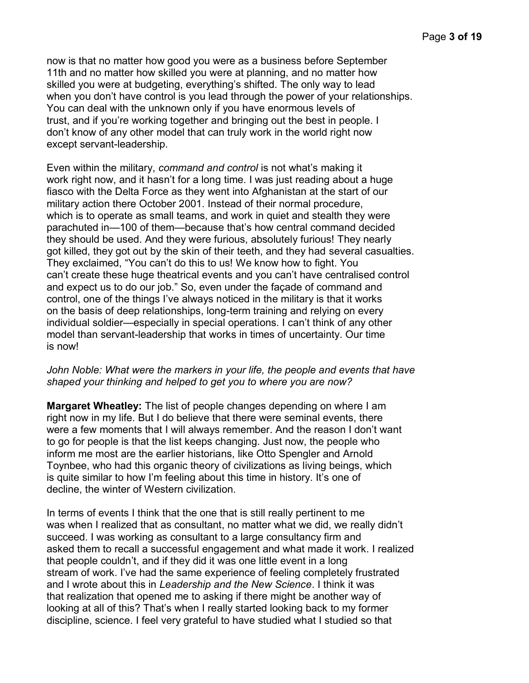now is that no matter how good you were as a business before September 11th and no matter how skilled you were at planning, and no matter how skilled you were at budgeting, everything's shifted. The only way to lead when you don't have control is you lead through the power of your relationships. You can deal with the unknown only if you have enormous levels of trust, and if you're working together and bringing out the best in people. I don't know of any other model that can truly work in the world right now except servant-leadership.

Even within the military, *command and control* is not what's making it work right now, and it hasn't for a long time. I was just reading about a huge fiasco with the Delta Force as they went into Afghanistan at the start of our military action there October 2001. Instead of their normal procedure, which is to operate as small teams, and work in quiet and stealth they were parachuted in—100 of them—because that's how central command decided they should be used. And they were furious, absolutely furious! They nearly got killed, they got out by the skin of their teeth, and they had several casualties. They exclaimed, "You can't do this to us! We know how to fight. You can't create these huge theatrical events and you can't have centralised control and expect us to do our job." So, even under the façade of command and control, one of the things I've always noticed in the military is that it works on the basis of deep relationships, long-term training and relying on every individual soldier—especially in special operations. I can't think of any other model than servant-leadership that works in times of uncertainty. Our time is now!

### *John Noble: What were the markers in your life, the people and events that have shaped your thinking and helped to get you to where you are now?*

**Margaret Wheatley:** The list of people changes depending on where I am right now in my life. But I do believe that there were seminal events, there were a few moments that I will always remember. And the reason I don't want to go for people is that the list keeps changing. Just now, the people who inform me most are the earlier historians, like Otto Spengler and Arnold Toynbee, who had this organic theory of civilizations as living beings, which is quite similar to how I'm feeling about this time in history. It's one of decline, the winter of Western civilization.

In terms of events I think that the one that is still really pertinent to me was when I realized that as consultant, no matter what we did, we really didn't succeed. I was working as consultant to a large consultancy firm and asked them to recall a successful engagement and what made it work. I realized that people couldn't, and if they did it was one little event in a long stream of work. I've had the same experience of feeling completely frustrated and I wrote about this in *Leadership and the New Science*. I think it was that realization that opened me to asking if there might be another way of looking at all of this? That's when I really started looking back to my former discipline, science. I feel very grateful to have studied what I studied so that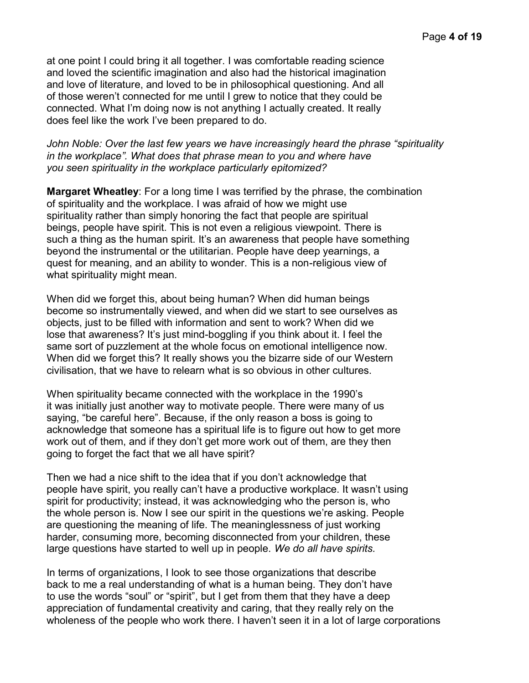at one point I could bring it all together. I was comfortable reading science and loved the scientific imagination and also had the historical imagination and love of literature, and loved to be in philosophical questioning. And all of those weren't connected for me until I grew to notice that they could be connected. What I'm doing now is not anything I actually created. It really does feel like the work I've been prepared to do.

*John Noble: Over the last few years we have increasingly heard the phrase "spirituality in the workplace". What does that phrase mean to you and where have you seen spirituality in the workplace particularly epitomized?*

**Margaret Wheatley**: For a long time I was terrified by the phrase, the combination of spirituality and the workplace. I was afraid of how we might use spirituality rather than simply honoring the fact that people are spiritual beings, people have spirit. This is not even a religious viewpoint. There is such a thing as the human spirit. It's an awareness that people have something beyond the instrumental or the utilitarian. People have deep yearnings, a quest for meaning, and an ability to wonder. This is a non-religious view of what spirituality might mean.

When did we forget this, about being human? When did human beings become so instrumentally viewed, and when did we start to see ourselves as objects, just to be filled with information and sent to work? When did we lose that awareness? It's just mind-boggling if you think about it. I feel the same sort of puzzlement at the whole focus on emotional intelligence now. When did we forget this? It really shows you the bizarre side of our Western civilisation, that we have to relearn what is so obvious in other cultures.

When spirituality became connected with the workplace in the 1990's it was initially just another way to motivate people. There were many of us saying, "be careful here". Because, if the only reason a boss is going to acknowledge that someone has a spiritual life is to figure out how to get more work out of them, and if they don't get more work out of them, are they then going to forget the fact that we all have spirit?

Then we had a nice shift to the idea that if you don't acknowledge that people have spirit, you really can't have a productive workplace. It wasn't using spirit for productivity; instead, it was acknowledging who the person is, who the whole person is. Now I see our spirit in the questions we're asking. People are questioning the meaning of life. The meaninglessness of just working harder, consuming more, becoming disconnected from your children, these large questions have started to well up in people. *We do all have spirits.*

In terms of organizations, I look to see those organizations that describe back to me a real understanding of what is a human being. They don't have to use the words "soul" or "spirit", but I get from them that they have a deep appreciation of fundamental creativity and caring, that they really rely on the wholeness of the people who work there. I haven't seen it in a lot of large corporations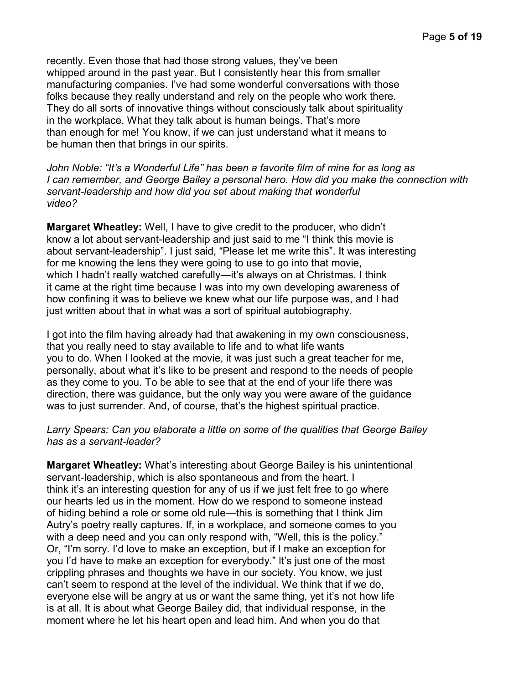recently. Even those that had those strong values, they've been whipped around in the past year. But I consistently hear this from smaller manufacturing companies. I've had some wonderful conversations with those folks because they really understand and rely on the people who work there. They do all sorts of innovative things without consciously talk about spirituality in the workplace. What they talk about is human beings. That's more than enough for me! You know, if we can just understand what it means to be human then that brings in our spirits.

*John Noble: "It's a Wonderful Life" has been a favorite film of mine for as long as I can remember, and George Bailey a personal hero. How did you make the connection with servant-leadership and how did you set about making that wonderful video?*

**Margaret Wheatley:** Well, I have to give credit to the producer, who didn't know a lot about servant-leadership and just said to me "I think this movie is about servant-leadership". I just said, "Please let me write this". It was interesting for me knowing the lens they were going to use to go into that movie, which I hadn't really watched carefully—it's always on at Christmas. I think it came at the right time because I was into my own developing awareness of how confining it was to believe we knew what our life purpose was, and I had just written about that in what was a sort of spiritual autobiography.

I got into the film having already had that awakening in my own consciousness, that you really need to stay available to life and to what life wants you to do. When I looked at the movie, it was just such a great teacher for me, personally, about what it's like to be present and respond to the needs of people as they come to you. To be able to see that at the end of your life there was direction, there was guidance, but the only way you were aware of the guidance was to just surrender. And, of course, that's the highest spiritual practice.

### *Larry Spears: Can you elaborate a little on some of the qualities that George Bailey has as a servant-leader?*

**Margaret Wheatley:** What's interesting about George Bailey is his unintentional servant-leadership, which is also spontaneous and from the heart. I think it's an interesting question for any of us if we just felt free to go where our hearts led us in the moment. How do we respond to someone instead of hiding behind a role or some old rule—this is something that I think Jim Autry's poetry really captures. If, in a workplace, and someone comes to you with a deep need and you can only respond with, "Well, this is the policy." Or, "I'm sorry. I'd love to make an exception, but if I make an exception for you I'd have to make an exception for everybody." It's just one of the most crippling phrases and thoughts we have in our society. You know, we just can't seem to respond at the level of the individual. We think that if we do, everyone else will be angry at us or want the same thing, yet it's not how life is at all. It is about what George Bailey did, that individual response, in the moment where he let his heart open and lead him. And when you do that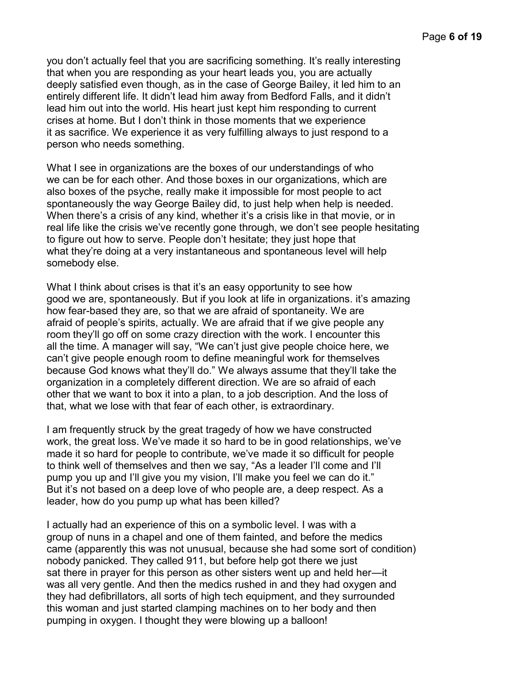you don't actually feel that you are sacrificing something. It's really interesting that when you are responding as your heart leads you, you are actually deeply satisfied even though, as in the case of George Bailey, it led him to an entirely different life. It didn't lead him away from Bedford Falls, and it didn't lead him out into the world. His heart just kept him responding to current crises at home. But I don't think in those moments that we experience it as sacrifice. We experience it as very fulfilling always to just respond to a person who needs something.

What I see in organizations are the boxes of our understandings of who we can be for each other. And those boxes in our organizations, which are also boxes of the psyche, really make it impossible for most people to act spontaneously the way George Bailey did, to just help when help is needed. When there's a crisis of any kind, whether it's a crisis like in that movie, or in real life like the crisis we've recently gone through, we don't see people hesitating to figure out how to serve. People don't hesitate; they just hope that what they're doing at a very instantaneous and spontaneous level will help somebody else.

What I think about crises is that it's an easy opportunity to see how good we are, spontaneously. But if you look at life in organizations. it's amazing how fear-based they are, so that we are afraid of spontaneity. We are afraid of people's spirits, actually. We are afraid that if we give people any room they'll go off on some crazy direction with the work. I encounter this all the time. A manager will say, "We can't just give people choice here, we can't give people enough room to define meaningful work for themselves because God knows what they'll do." We always assume that they'll take the organization in a completely different direction. We are so afraid of each other that we want to box it into a plan, to a job description. And the loss of that, what we lose with that fear of each other, is extraordinary.

I am frequently struck by the great tragedy of how we have constructed work, the great loss. We've made it so hard to be in good relationships, we've made it so hard for people to contribute, we've made it so difficult for people to think well of themselves and then we say, "As a leader I'll come and I'll pump you up and I'll give you my vision, I'll make you feel we can do it." But it's not based on a deep love of who people are, a deep respect. As a leader, how do you pump up what has been killed?

I actually had an experience of this on a symbolic level. I was with a group of nuns in a chapel and one of them fainted, and before the medics came (apparently this was not unusual, because she had some sort of condition) nobody panicked. They called 911, but before help got there we just sat there in prayer for this person as other sisters went up and held her—it was all very gentle. And then the medics rushed in and they had oxygen and they had defibrillators, all sorts of high tech equipment, and they surrounded this woman and just started clamping machines on to her body and then pumping in oxygen. I thought they were blowing up a balloon!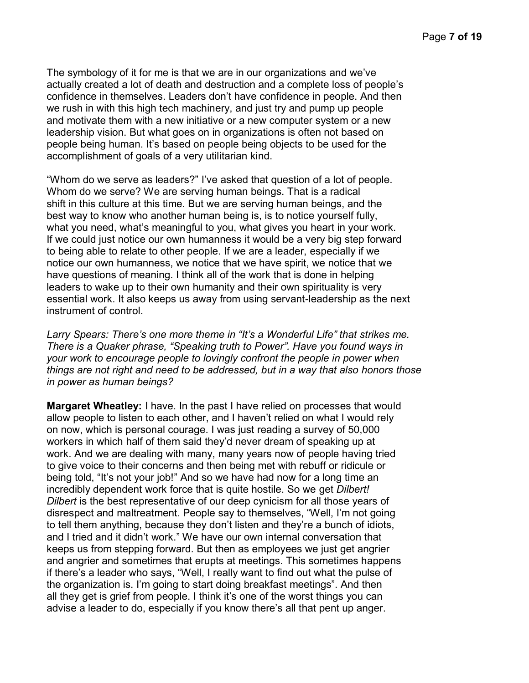The symbology of it for me is that we are in our organizations and we've actually created a lot of death and destruction and a complete loss of people's confidence in themselves. Leaders don't have confidence in people. And then we rush in with this high tech machinery, and just try and pump up people and motivate them with a new initiative or a new computer system or a new leadership vision. But what goes on in organizations is often not based on people being human. It's based on people being objects to be used for the accomplishment of goals of a very utilitarian kind.

"Whom do we serve as leaders?" I've asked that question of a lot of people. Whom do we serve? We are serving human beings. That is a radical shift in this culture at this time. But we are serving human beings, and the best way to know who another human being is, is to notice yourself fully, what you need, what's meaningful to you, what gives you heart in your work. If we could just notice our own humanness it would be a very big step forward to being able to relate to other people. If we are a leader, especially if we notice our own humanness, we notice that we have spirit, we notice that we have questions of meaning. I think all of the work that is done in helping leaders to wake up to their own humanity and their own spirituality is very essential work. It also keeps us away from using servant-leadership as the next instrument of control.

*Larry Spears: There's one more theme in "It's a Wonderful Life" that strikes me. There is a Quaker phrase, "Speaking truth to Power". Have you found ways in your work to encourage people to lovingly confront the people in power when things are not right and need to be addressed, but in a way that also honors those in power as human beings?*

**Margaret Wheatley:** I have. In the past I have relied on processes that would allow people to listen to each other, and I haven't relied on what I would rely on now, which is personal courage. I was just reading a survey of 50,000 workers in which half of them said they'd never dream of speaking up at work. And we are dealing with many, many years now of people having tried to give voice to their concerns and then being met with rebuff or ridicule or being told, "It's not your job!" And so we have had now for a long time an incredibly dependent work force that is quite hostile. So we get *Dilbert! Dilbert* is the best representative of our deep cynicism for all those years of disrespect and maltreatment. People say to themselves, "Well, I'm not going to tell them anything, because they don't listen and they're a bunch of idiots, and I tried and it didn't work." We have our own internal conversation that keeps us from stepping forward. But then as employees we just get angrier and angrier and sometimes that erupts at meetings. This sometimes happens if there's a leader who says, "Well, I really want to find out what the pulse of the organization is. I'm going to start doing breakfast meetings". And then all they get is grief from people. I think it's one of the worst things you can advise a leader to do, especially if you know there's all that pent up anger.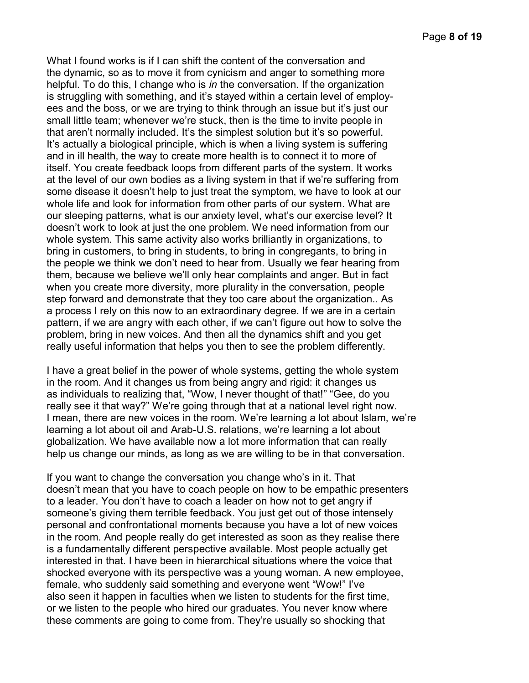What I found works is if I can shift the content of the conversation and the dynamic, so as to move it from cynicism and anger to something more helpful. To do this, I change who is *in* the conversation. If the organization is struggling with something, and it's stayed within a certain level of employees and the boss, or we are trying to think through an issue but it's just our small little team; whenever we're stuck, then is the time to invite people in that aren't normally included. It's the simplest solution but it's so powerful. It's actually a biological principle, which is when a living system is suffering and in ill health, the way to create more health is to connect it to more of itself. You create feedback loops from different parts of the system. It works at the level of our own bodies as a living system in that if we're suffering from some disease it doesn't help to just treat the symptom, we have to look at our whole life and look for information from other parts of our system. What are our sleeping patterns, what is our anxiety level, what's our exercise level? It doesn't work to look at just the one problem. We need information from our whole system. This same activity also works brilliantly in organizations, to bring in customers, to bring in students, to bring in congregants, to bring in the people we think we don't need to hear from. Usually we fear hearing from them, because we believe we'll only hear complaints and anger. But in fact when you create more diversity, more plurality in the conversation, people step forward and demonstrate that they too care about the organization.. As a process I rely on this now to an extraordinary degree. If we are in a certain pattern, if we are angry with each other, if we can't figure out how to solve the problem, bring in new voices. And then all the dynamics shift and you get really useful information that helps you then to see the problem differently.

I have a great belief in the power of whole systems, getting the whole system in the room. And it changes us from being angry and rigid: it changes us as individuals to realizing that, "Wow, I never thought of that!" "Gee, do you really see it that way?" We're going through that at a national level right now. I mean, there are new voices in the room. We're learning a lot about Islam, we're learning a lot about oil and Arab-U.S. relations, we're learning a lot about globalization. We have available now a lot more information that can really help us change our minds, as long as we are willing to be in that conversation.

If you want to change the conversation you change who's in it. That doesn't mean that you have to coach people on how to be empathic presenters to a leader. You don't have to coach a leader on how not to get angry if someone's giving them terrible feedback. You just get out of those intensely personal and confrontational moments because you have a lot of new voices in the room. And people really do get interested as soon as they realise there is a fundamentally different perspective available. Most people actually get interested in that. I have been in hierarchical situations where the voice that shocked everyone with its perspective was a young woman. A new employee, female, who suddenly said something and everyone went "Wow!" I've also seen it happen in faculties when we listen to students for the first time, or we listen to the people who hired our graduates. You never know where these comments are going to come from. They're usually so shocking that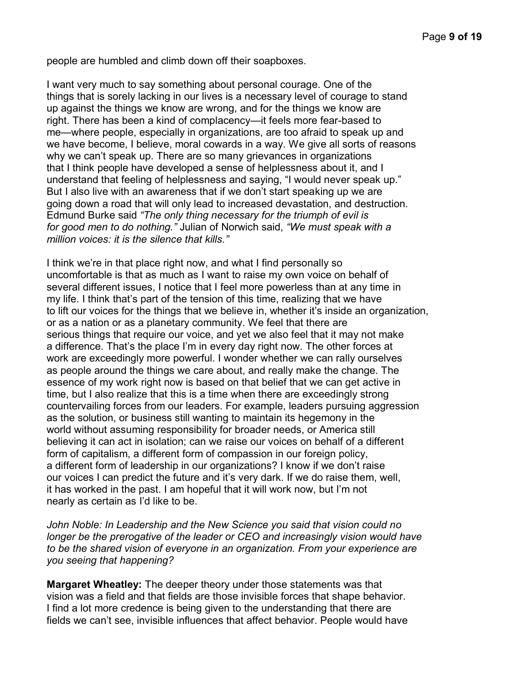people are humbled and climb down off their soapboxes.

I want very much to say something about personal courage. One of the things that is sorely lacking in our lives is a necessary level of courage to stand up against the things we know are wrong, and for the things we know are right. There has been a kind of complacency—it feels more fear-based to me—where people, especially in organizations, are too afraid to speak up and we have become, I believe, moral cowards in a way. We give all sorts of reasons why we can't speak up. There are so many grievances in organizations that I think people have developed a sense of helplessness about it, and I understand that feeling of helplessness and saying, "I would never speak up." But I also live with an awareness that if we don't start speaking up we are going down a road that will only lead to increased devastation, and destruction. Edmund Burke said *"The only thing necessary for the triumph of evil is for good men to do nothing."* Julian of Norwich said, *"We must speak with a million voices: it is the silence that kills."*

I think we're in that place right now, and what I find personally so uncomfortable is that as much as I want to raise my own voice on behalf of several different issues, I notice that I feel more powerless than at any time in my life. I think that's part of the tension of this time, realizing that we have to lift our voices for the things that we believe in, whether it's inside an organization, or as a nation or as a planetary community. We feel that there are serious things that require our voice, and yet we also feel that it may not make a difference. That's the place I'm in every day right now. The other forces at work are exceedingly more powerful. I wonder whether we can rally ourselves as people around the things we care about, and really make the change. The essence of my work right now is based on that belief that we can get active in time, but I also realize that this is a time when there are exceedingly strong countervailing forces from our leaders. For example, leaders pursuing aggression as the solution, or business still wanting to maintain its hegemony in the world without assuming responsibility for broader needs, or America still believing it can act in isolation; can we raise our voices on behalf of a different form of capitalism, a different form of compassion in our foreign policy, a different form of leadership in our organizations? I know if we don't raise our voices I can predict the future and it's very dark. If we do raise them, well, it has worked in the past. I am hopeful that it will work now, but I'm not nearly as certain as I'd like to be.

*John Noble: In Leadership and the New Science you said that vision could no longer be the prerogative of the leader or CEO and increasingly vision would have to be the shared vision of everyone in an organization. From your experience are you seeing that happening?*

**Margaret Wheatley:** The deeper theory under those statements was that vision was a field and that fields are those invisible forces that shape behavior. I find a lot more credence is being given to the understanding that there are fields we can't see, invisible influences that affect behavior. People would have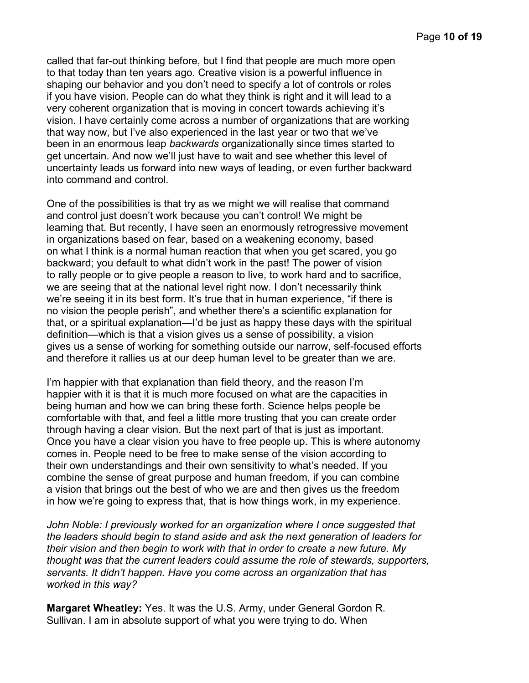called that far-out thinking before, but I find that people are much more open to that today than ten years ago. Creative vision is a powerful influence in shaping our behavior and you don't need to specify a lot of controls or roles if you have vision. People can do what they think is right and it will lead to a very coherent organization that is moving in concert towards achieving it's vision. I have certainly come across a number of organizations that are working that way now, but I've also experienced in the last year or two that we've been in an enormous leap *backwards* organizationally since times started to get uncertain. And now we'll just have to wait and see whether this level of uncertainty leads us forward into new ways of leading, or even further backward into command and control.

One of the possibilities is that try as we might we will realise that command and control just doesn't work because you can't control! We might be learning that. But recently, I have seen an enormously retrogressive movement in organizations based on fear, based on a weakening economy, based on what I think is a normal human reaction that when you get scared, you go backward; you default to what didn't work in the past! The power of vision to rally people or to give people a reason to live, to work hard and to sacrifice, we are seeing that at the national level right now. I don't necessarily think we're seeing it in its best form. It's true that in human experience, "if there is no vision the people perish", and whether there's a scientific explanation for that, or a spiritual explanation—I'd be just as happy these days with the spiritual definition—which is that a vision gives us a sense of possibility, a vision gives us a sense of working for something outside our narrow, self-focused efforts and therefore it rallies us at our deep human level to be greater than we are.

I'm happier with that explanation than field theory, and the reason I'm happier with it is that it is much more focused on what are the capacities in being human and how we can bring these forth. Science helps people be comfortable with that, and feel a little more trusting that you can create order through having a clear vision. But the next part of that is just as important. Once you have a clear vision you have to free people up. This is where autonomy comes in. People need to be free to make sense of the vision according to their own understandings and their own sensitivity to what's needed. If you combine the sense of great purpose and human freedom, if you can combine a vision that brings out the best of who we are and then gives us the freedom in how we're going to express that, that is how things work, in my experience.

*John Noble: I previously worked for an organization where I once suggested that the leaders should begin to stand aside and ask the next generation of leaders for their vision and then begin to work with that in order to create a new future. My thought was that the current leaders could assume the role of stewards, supporters, servants. It didn't happen. Have you come across an organization that has worked in this way?*

**Margaret Wheatley:** Yes. It was the U.S. Army, under General Gordon R. Sullivan. I am in absolute support of what you were trying to do. When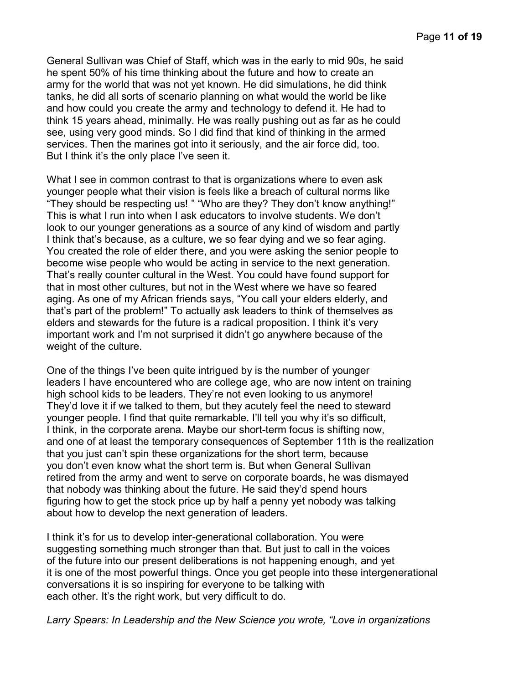General Sullivan was Chief of Staff, which was in the early to mid 90s, he said he spent 50% of his time thinking about the future and how to create an army for the world that was not yet known. He did simulations, he did think tanks, he did all sorts of scenario planning on what would the world be like and how could you create the army and technology to defend it. He had to think 15 years ahead, minimally. He was really pushing out as far as he could see, using very good minds. So I did find that kind of thinking in the armed services. Then the marines got into it seriously, and the air force did, too. But I think it's the only place I've seen it.

What I see in common contrast to that is organizations where to even ask younger people what their vision is feels like a breach of cultural norms like "They should be respecting us! " "Who are they? They don't know anything!" This is what I run into when I ask educators to involve students. We don't look to our younger generations as a source of any kind of wisdom and partly I think that's because, as a culture, we so fear dying and we so fear aging. You created the role of elder there, and you were asking the senior people to become wise people who would be acting in service to the next generation. That's really counter cultural in the West. You could have found support for that in most other cultures, but not in the West where we have so feared aging. As one of my African friends says, "You call your elders elderly, and that's part of the problem!" To actually ask leaders to think of themselves as elders and stewards for the future is a radical proposition. I think it's very important work and I'm not surprised it didn't go anywhere because of the weight of the culture.

One of the things I've been quite intrigued by is the number of younger leaders I have encountered who are college age, who are now intent on training high school kids to be leaders. They're not even looking to us anymore! They'd love it if we talked to them, but they acutely feel the need to steward younger people. I find that quite remarkable. I'll tell you why it's so difficult, I think, in the corporate arena. Maybe our short-term focus is shifting now, and one of at least the temporary consequences of September 11th is the realization that you just can't spin these organizations for the short term, because you don't even know what the short term is. But when General Sullivan retired from the army and went to serve on corporate boards, he was dismayed that nobody was thinking about the future. He said they'd spend hours figuring how to get the stock price up by half a penny yet nobody was talking about how to develop the next generation of leaders.

I think it's for us to develop inter-generational collaboration. You were suggesting something much stronger than that. But just to call in the voices of the future into our present deliberations is not happening enough, and yet it is one of the most powerful things. Once you get people into these intergenerational conversations it is so inspiring for everyone to be talking with each other. It's the right work, but very difficult to do.

*Larry Spears: In Leadership and the New Science you wrote, "Love in organizations*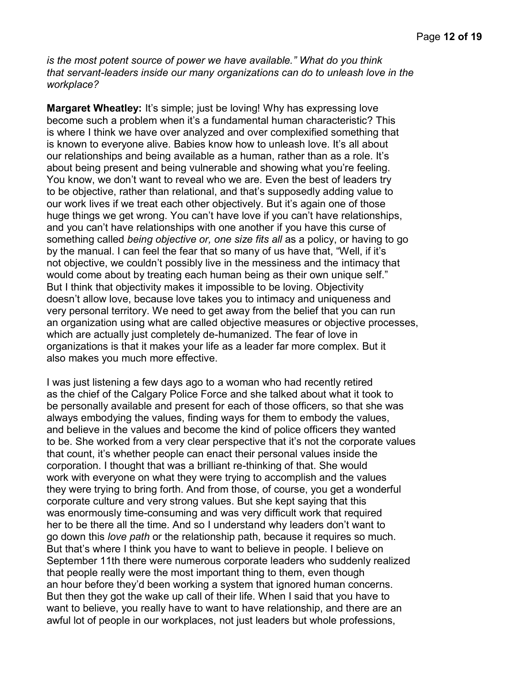*is the most potent source of power we have available." What do you think that servant-leaders inside our many organizations can do to unleash love in the workplace?*

**Margaret Wheatley:** It's simple; just be loving! Why has expressing love become such a problem when it's a fundamental human characteristic? This is where I think we have over analyzed and over complexified something that is known to everyone alive. Babies know how to unleash love. It's all about our relationships and being available as a human, rather than as a role. It's about being present and being vulnerable and showing what you're feeling. You know, we don't want to reveal who we are. Even the best of leaders try to be objective, rather than relational, and that's supposedly adding value to our work lives if we treat each other objectively. But it's again one of those huge things we get wrong. You can't have love if you can't have relationships, and you can't have relationships with one another if you have this curse of something called *being objective or, one size fits all* as a policy, or having to go by the manual. I can feel the fear that so many of us have that, "Well, if it's not objective, we couldn't possibly live in the messiness and the intimacy that would come about by treating each human being as their own unique self." But I think that objectivity makes it impossible to be loving. Objectivity doesn't allow love, because love takes you to intimacy and uniqueness and very personal territory. We need to get away from the belief that you can run an organization using what are called objective measures or objective processes, which are actually just completely de-humanized. The fear of love in organizations is that it makes your life as a leader far more complex. But it also makes you much more effective.

I was just listening a few days ago to a woman who had recently retired as the chief of the Calgary Police Force and she talked about what it took to be personally available and present for each of those officers, so that she was always embodying the values, finding ways for them to embody the values, and believe in the values and become the kind of police officers they wanted to be. She worked from a very clear perspective that it's not the corporate values that count, it's whether people can enact their personal values inside the corporation. I thought that was a brilliant re-thinking of that. She would work with everyone on what they were trying to accomplish and the values they were trying to bring forth. And from those, of course, you get a wonderful corporate culture and very strong values. But she kept saying that this was enormously time-consuming and was very difficult work that required her to be there all the time. And so I understand why leaders don't want to go down this *love path* or the relationship path, because it requires so much. But that's where I think you have to want to believe in people. I believe on September 11th there were numerous corporate leaders who suddenly realized that people really were the most important thing to them, even though an hour before they'd been working a system that ignored human concerns. But then they got the wake up call of their life. When I said that you have to want to believe, you really have to want to have relationship, and there are an awful lot of people in our workplaces, not just leaders but whole professions,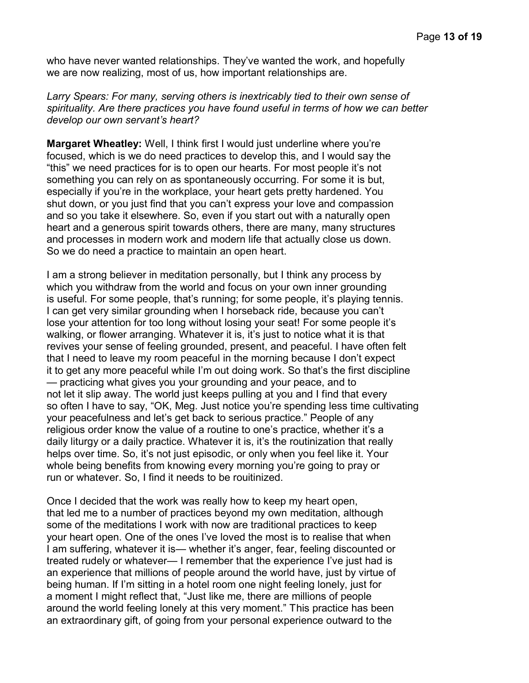who have never wanted relationships. They've wanted the work, and hopefully we are now realizing, most of us, how important relationships are.

*Larry Spears: For many, serving others is inextricably tied to their own sense of spirituality. Are there practices you have found useful in terms of how we can better develop our own servant's heart?*

**Margaret Wheatley:** Well, I think first I would just underline where you're focused, which is we do need practices to develop this, and I would say the "this" we need practices for is to open our hearts. For most people it's not something you can rely on as spontaneously occurring. For some it is but, especially if you're in the workplace, your heart gets pretty hardened. You shut down, or you just find that you can't express your love and compassion and so you take it elsewhere. So, even if you start out with a naturally open heart and a generous spirit towards others, there are many, many structures and processes in modern work and modern life that actually close us down. So we do need a practice to maintain an open heart.

I am a strong believer in meditation personally, but I think any process by which you withdraw from the world and focus on your own inner grounding is useful. For some people, that's running; for some people, it's playing tennis. I can get very similar grounding when I horseback ride, because you can't lose your attention for too long without losing your seat! For some people it's walking, or flower arranging. Whatever it is, it's just to notice what it is that revives your sense of feeling grounded, present, and peaceful. I have often felt that I need to leave my room peaceful in the morning because I don't expect it to get any more peaceful while I'm out doing work. So that's the first discipline — practicing what gives you your grounding and your peace, and to not let it slip away. The world just keeps pulling at you and I find that every so often I have to say, "OK, Meg. Just notice you're spending less time cultivating your peacefulness and let's get back to serious practice." People of any religious order know the value of a routine to one's practice, whether it's a daily liturgy or a daily practice. Whatever it is, it's the routinization that really helps over time. So, it's not just episodic, or only when you feel like it. Your whole being benefits from knowing every morning you're going to pray or run or whatever. So, I find it needs to be rouitinized.

Once I decided that the work was really how to keep my heart open, that led me to a number of practices beyond my own meditation, although some of the meditations I work with now are traditional practices to keep your heart open. One of the ones I've loved the most is to realise that when I am suffering, whatever it is— whether it's anger, fear, feeling discounted or treated rudely or whatever— I remember that the experience I've just had is an experience that millions of people around the world have, just by virtue of being human. If I'm sitting in a hotel room one night feeling lonely, just for a moment I might reflect that, "Just like me, there are millions of people around the world feeling lonely at this very moment." This practice has been an extraordinary gift, of going from your personal experience outward to the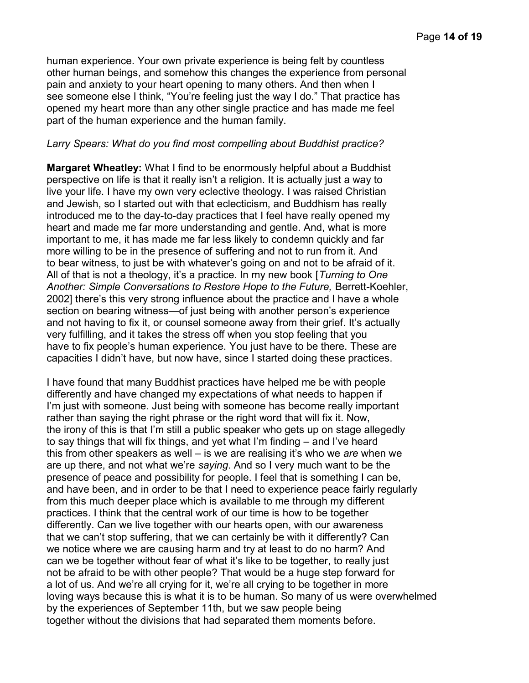human experience. Your own private experience is being felt by countless other human beings, and somehow this changes the experience from personal pain and anxiety to your heart opening to many others. And then when I see someone else I think, "You're feeling just the way I do." That practice has opened my heart more than any other single practice and has made me feel part of the human experience and the human family.

#### *Larry Spears: What do you find most compelling about Buddhist practice?*

**Margaret Wheatley:** What I find to be enormously helpful about a Buddhist perspective on life is that it really isn't a religion. It is actually just a way to live your life. I have my own very eclective theology. I was raised Christian and Jewish, so I started out with that eclecticism, and Buddhism has really introduced me to the day-to-day practices that I feel have really opened my heart and made me far more understanding and gentle. And, what is more important to me, it has made me far less likely to condemn quickly and far more willing to be in the presence of suffering and not to run from it. And to bear witness, to just be with whatever's going on and not to be afraid of it. All of that is not a theology, it's a practice. In my new book [*Turning to One Another: Simple Conversations to Restore Hope to the Future,* Berrett-Koehler, 2002] there's this very strong influence about the practice and I have a whole section on bearing witness—of just being with another person's experience and not having to fix it, or counsel someone away from their grief. It's actually very fulfilling, and it takes the stress off when you stop feeling that you have to fix people's human experience. You just have to be there. These are capacities I didn't have, but now have, since I started doing these practices.

I have found that many Buddhist practices have helped me be with people differently and have changed my expectations of what needs to happen if I'm just with someone. Just being with someone has become really important rather than saying the right phrase or the right word that will fix it. Now, the irony of this is that I'm still a public speaker who gets up on stage allegedly to say things that will fix things, and yet what I'm finding – and I've heard this from other speakers as well – is we are realising it's who we *are* when we are up there, and not what we're *saying*. And so I very much want to be the presence of peace and possibility for people. I feel that is something I can be, and have been, and in order to be that I need to experience peace fairly regularly from this much deeper place which is available to me through my different practices. I think that the central work of our time is how to be together differently. Can we live together with our hearts open, with our awareness that we can't stop suffering, that we can certainly be with it differently? Can we notice where we are causing harm and try at least to do no harm? And can we be together without fear of what it's like to be together, to really just not be afraid to be with other people? That would be a huge step forward for a lot of us. And we're all crying for it, we're all crying to be together in more loving ways because this is what it is to be human. So many of us were overwhelmed by the experiences of September 11th, but we saw people being together without the divisions that had separated them moments before.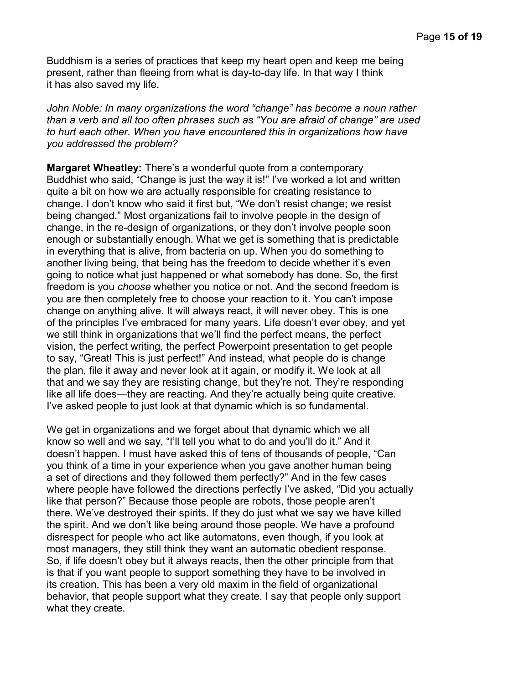Buddhism is a series of practices that keep my heart open and keep me being present, rather than fleeing from what is day-to-day life. In that way I think it has also saved my life.

*John Noble: In many organizations the word "change" has become a noun rather than a verb and all too often phrases such as "You are afraid of change" are used to hurt each other. When you have encountered this in organizations how have you addressed the problem?*

**Margaret Wheatley:** There's a wonderful quote from a contemporary Buddhist who said, "Change is just the way it is!" I've worked a lot and written quite a bit on how we are actually responsible for creating resistance to change. I don't know who said it first but, "We don't resist change; we resist being changed." Most organizations fail to involve people in the design of change, in the re-design of organizations, or they don't involve people soon enough or substantially enough. What we get is something that is predictable in everything that is alive, from bacteria on up. When you do something to another living being, that being has the freedom to decide whether it's even going to notice what just happened or what somebody has done. So, the first freedom is you *choose* whether you notice or not. And the second freedom is you are then completely free to choose your reaction to it. You can't impose change on anything alive. It will always react, it will never obey. This is one of the principles I've embraced for many years. Life doesn't ever obey, and yet we still think in organizations that we'll find the perfect means, the perfect vision, the perfect writing, the perfect Powerpoint presentation to get people to say, "Great! This is just perfect!" And instead, what people do is change the plan, file it away and never look at it again, or modify it. We look at all that and we say they are resisting change, but they're not. They're responding like all life does—they are reacting. And they're actually being quite creative. I've asked people to just look at that dynamic which is so fundamental.

We get in organizations and we forget about that dynamic which we all know so well and we say, "I'll tell you what to do and you'll do it." And it doesn't happen. I must have asked this of tens of thousands of people, "Can you think of a time in your experience when you gave another human being a set of directions and they followed them perfectly?" And in the few cases where people have followed the directions perfectly I've asked, "Did you actually like that person?" Because those people are robots, those people aren't there. We've destroyed their spirits. If they do just what we say we have killed the spirit. And we don't like being around those people. We have a profound disrespect for people who act like automatons, even though, if you look at most managers, they still think they want an automatic obedient response. So, if life doesn't obey but it always reacts, then the other principle from that is that if you want people to support something they have to be involved in its creation. This has been a very old maxim in the field of organizational behavior, that people support what they create. I say that people only support what they create.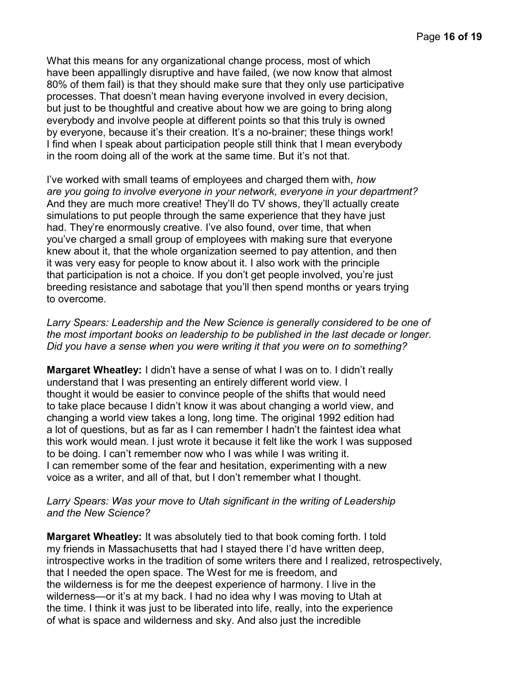What this means for any organizational change process, most of which have been appallingly disruptive and have failed, (we now know that almost 80% of them fail) is that they should make sure that they only use participative processes. That doesn't mean having everyone involved in every decision, but just to be thoughtful and creative about how we are going to bring along everybody and involve people at different points so that this truly is owned by everyone, because it's their creation. It's a no-brainer; these things work! I find when I speak about participation people still think that I mean everybody in the room doing all of the work at the same time. But it's not that.

I've worked with small teams of employees and charged them with, *how are you going to involve everyone in your network, everyone in your department?* And they are much more creative! They'll do TV shows, they'll actually create simulations to put people through the same experience that they have just had. They're enormously creative. I've also found, over time, that when you've charged a small group of employees with making sure that everyone knew about it, that the whole organization seemed to pay attention, and then it was very easy for people to know about it. I also work with the principle that participation is not a choice. If you don't get people involved, you're just breeding resistance and sabotage that you'll then spend months or years trying to overcome.

*Larry Spears: Leadership and the New Science is generally considered to be one of the most important books on leadership to be published in the last decade or longer. Did you have a sense when you were writing it that you were on to something?*

**Margaret Wheatley:** I didn't have a sense of what I was on to. I didn't really understand that I was presenting an entirely different world view. I thought it would be easier to convince people of the shifts that would need to take place because I didn't know it was about changing a world view, and changing a world view takes a long, long time. The original 1992 edition had a lot of questions, but as far as I can remember I hadn't the faintest idea what this work would mean. I just wrote it because it felt like the work I was supposed to be doing. I can't remember now who I was while I was writing it. I can remember some of the fear and hesitation, experimenting with a new voice as a writer, and all of that, but I don't remember what I thought.

### *Larry Spears: Was your move to Utah significant in the writing of Leadership and the New Science?*

**Margaret Wheatley:** It was absolutely tied to that book coming forth. I told my friends in Massachusetts that had I stayed there I'd have written deep, introspective works in the tradition of some writers there and I realized, retrospectively, that I needed the open space. The West for me is freedom, and the wilderness is for me the deepest experience of harmony. I live in the wilderness—or it's at my back. I had no idea why I was moving to Utah at the time. I think it was just to be liberated into life, really, into the experience of what is space and wilderness and sky. And also just the incredible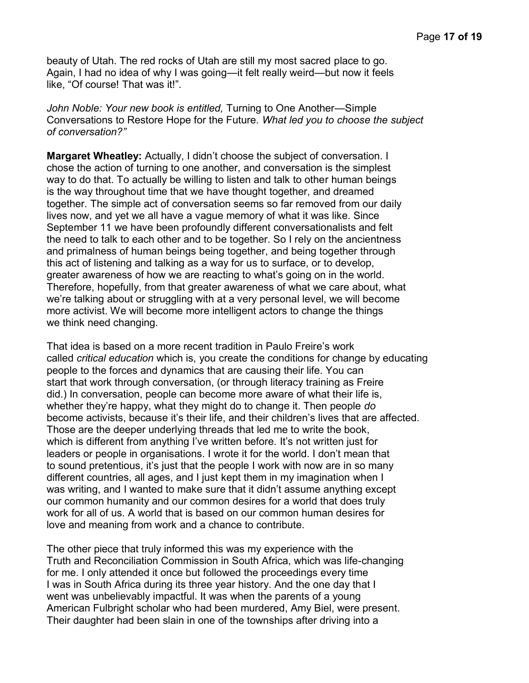beauty of Utah. The red rocks of Utah are still my most sacred place to go. Again, I had no idea of why I was going—it felt really weird—but now it feels like, "Of course! That was it!".

*John Noble: Your new book is entitled,* Turning to One Another—Simple Conversations to Restore Hope for the Future*. What led you to choose the subject of conversation?"*

**Margaret Wheatley:** Actually, I didn't choose the subject of conversation. I chose the action of turning to one another, and conversation is the simplest way to do that. To actually be willing to listen and talk to other human beings is the way throughout time that we have thought together, and dreamed together. The simple act of conversation seems so far removed from our daily lives now, and yet we all have a vague memory of what it was like. Since September 11 we have been profoundly different conversationalists and felt the need to talk to each other and to be together. So I rely on the ancientness and primalness of human beings being together, and being together through this act of listening and talking as a way for us to surface, or to develop, greater awareness of how we are reacting to what's going on in the world. Therefore, hopefully, from that greater awareness of what we care about, what we're talking about or struggling with at a very personal level, we will become more activist. We will become more intelligent actors to change the things we think need changing.

That idea is based on a more recent tradition in Paulo Freire's work called *critical education* which is, you create the conditions for change by educating people to the forces and dynamics that are causing their life. You can start that work through conversation, (or through literacy training as Freire did.) In conversation, people can become more aware of what their life is, whether they're happy, what they might do to change it. Then people *do* become activists, because it's their life, and their children's lives that are affected. Those are the deeper underlying threads that led me to write the book, which is different from anything I've written before. It's not written just for leaders or people in organisations. I wrote it for the world. I don't mean that to sound pretentious, it's just that the people I work with now are in so many different countries, all ages, and I just kept them in my imagination when I was writing, and I wanted to make sure that it didn't assume anything except our common humanity and our common desires for a world that does truly work for all of us. A world that is based on our common human desires for love and meaning from work and a chance to contribute.

The other piece that truly informed this was my experience with the Truth and Reconciliation Commission in South Africa, which was life-changing for me. I only attended it once but followed the proceedings every time I was in South Africa during its three year history. And the one day that I went was unbelievably impactful. It was when the parents of a young American Fulbright scholar who had been murdered, Amy Biel, were present. Their daughter had been slain in one of the townships after driving into a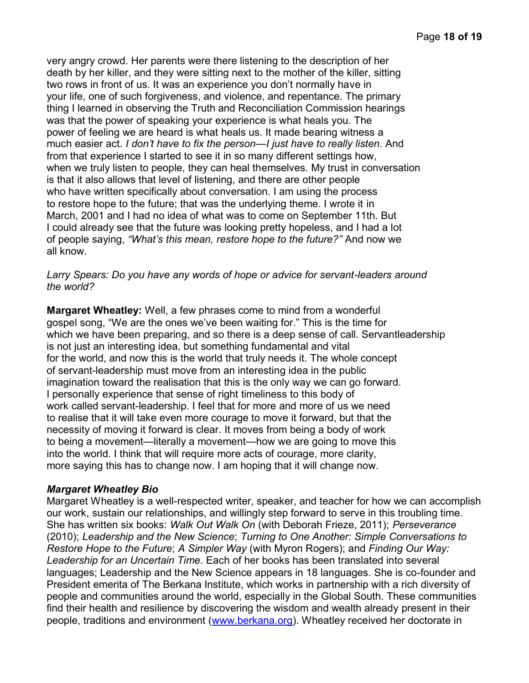very angry crowd. Her parents were there listening to the description of her death by her killer, and they were sitting next to the mother of the killer, sitting two rows in front of us. It was an experience you don't normally have in your life, one of such forgiveness, and violence, and repentance. The primary thing I learned in observing the Truth and Reconciliation Commission hearings was that the power of speaking your experience is what heals you. The power of feeling we are heard is what heals us. It made bearing witness a much easier act. *I don't have to fix the person—I just have to really listen*. And from that experience I started to see it in so many different settings how, when we truly listen to people, they can heal themselves. My trust in conversation is that it also allows that level of listening, and there are other people who have written specifically about conversation. I am using the process to restore hope to the future; that was the underlying theme. I wrote it in March, 2001 and I had no idea of what was to come on September 11th. But I could already see that the future was looking pretty hopeless, and I had a lot of people saying, *"What's this mean, restore hope to the future?"* And now we all know.

#### *Larry Spears: Do you have any words of hope or advice for servant-leaders around the world?*

**Margaret Wheatley:** Well, a few phrases come to mind from a wonderful gospel song, "We are the ones we've been waiting for." This is the time for which we have been preparing, and so there is a deep sense of call. Servantleadership is not just an interesting idea, but something fundamental and vital for the world, and now this is the world that truly needs it. The whole concept of servant-leadership must move from an interesting idea in the public imagination toward the realisation that this is the only way we can go forward. I personally experience that sense of right timeliness to this body of work called servant-leadership. I feel that for more and more of us we need to realise that it will take even more courage to move it forward, but that the necessity of moving it forward is clear. It moves from being a body of work to being a movement—literally a movement—how we are going to move this into the world. I think that will require more acts of courage, more clarity, more saying this has to change now. I am hoping that it will change now.

### *Margaret Wheatley Bio*

Margaret Wheatley is a well-respected writer, speaker, and teacher for how we can accomplish our work, sustain our relationships, and willingly step forward to serve in this troubling time. She has written six books: *Walk Out Walk On* (with Deborah Frieze, 2011); *Perseverance* (2010); *Leadership and the New Science*; *Turning to One Another: Simple Conversations to Restore Hope to the Future*; *A Simpler Way* (with Myron Rogers); and *Finding Our Way: Leadership for an Uncertain Time*. Each of her books has been translated into several languages; Leadership and the New Science appears in 18 languages. She is co-founder and President emerita of The Berkana Institute, which works in partnership with a rich diversity of people and communities around the world, especially in the Global South. These communities find their health and resilience by discovering the wisdom and wealth already present in their people, traditions and environment [\(www.berkana.org\)](http://www.berkana.org/). Wheatley received her doctorate in